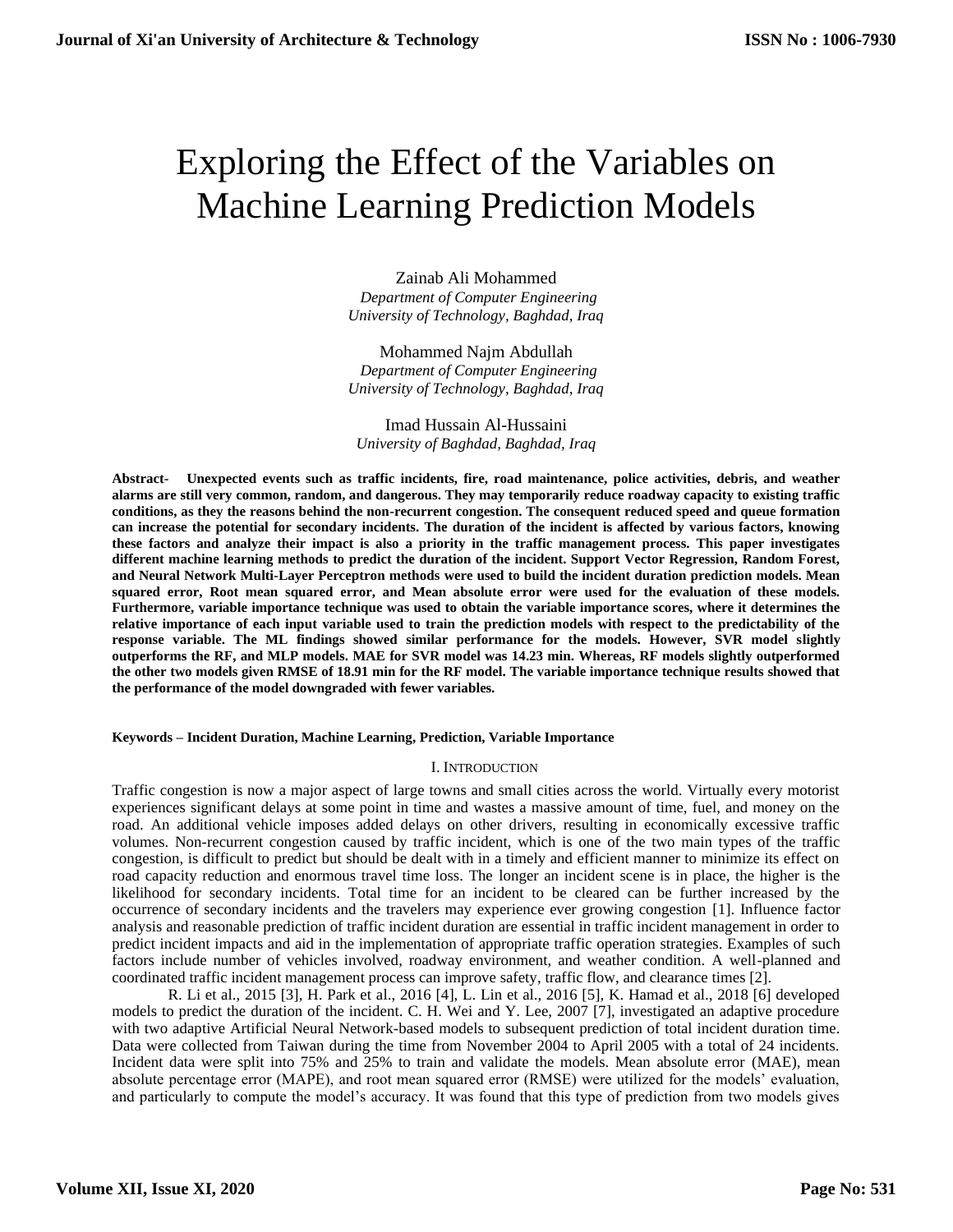# Exploring the Effect of the Variables on Machine Learning Prediction Models

Zainab Ali Mohammed  *Department of Computer Engineering University of Technology, Baghdad, Iraq* 

Mohammed Najm Abdullah  *Department of Computer Engineering University of Technology, Baghdad, Iraq* 

Imad Hussain Al-Hussaini *University of Baghdad, Baghdad, Iraq* 

**Abstract- Unexpected events such as traffic incidents, fire, road maintenance, police activities, debris, and weather alarms are still very common, random, and dangerous. They may temporarily reduce roadway capacity to existing traffic conditions, as they the reasons behind the non-recurrent congestion. The consequent reduced speed and queue formation can increase the potential for secondary incidents. The duration of the incident is affected by various factors, knowing these factors and analyze their impact is also a priority in the traffic management process. This paper investigates different machine learning methods to predict the duration of the incident. Support Vector Regression, Random Forest, and Neural Network Multi-Layer Perceptron methods were used to build the incident duration prediction models. Mean squared error, Root mean squared error, and Mean absolute error were used for the evaluation of these models. Furthermore, variable importance technique was used to obtain the variable importance scores, where it determines the relative importance of each input variable used to train the prediction models with respect to the predictability of the response variable. The ML findings showed similar performance for the models. However, SVR model slightly outperforms the RF, and MLP models. MAE for SVR model was 14.23 min. Whereas, RF models slightly outperformed the other two models given RMSE of 18.91 min for the RF model. The variable importance technique results showed that the performance of the model downgraded with fewer variables.**

#### **Keywords – Incident Duration, Machine Learning, Prediction, Variable Importance**

#### I. INTRODUCTION

Traffic congestion is now a major aspect of large towns and small cities across the world. Virtually every motorist experiences significant delays at some point in time and wastes a massive amount of time, fuel, and money on the road. An additional vehicle imposes added delays on other drivers, resulting in economically excessive traffic volumes. Non-recurrent congestion caused by traffic incident, which is one of the two main types of the traffic congestion, is difficult to predict but should be dealt with in a timely and efficient manner to minimize its effect on road capacity reduction and enormous travel time loss. The longer an incident scene is in place, the higher is the likelihood for secondary incidents. Total time for an incident to be cleared can be further increased by the occurrence of secondary incidents and the travelers may experience ever growing congestion [1]. Influence factor analysis and reasonable prediction of traffic incident duration are essential in traffic incident management in order to predict incident impacts and aid in the implementation of appropriate traffic operation strategies. Examples of such factors include number of vehicles involved, roadway environment, and weather condition. A well-planned and coordinated traffic incident management process can improve safety, traffic flow, and clearance times [2].

R. Li et al., 2015 [3], H. Park et al., 2016 [4], L. Lin et al., 2016 [5], K. Hamad et al., 2018 [6] developed models to predict the duration of the incident. C. H. Wei and Y. Lee, 2007 [7], investigated an adaptive procedure with two adaptive Artificial Neural Network-based models to subsequent prediction of total incident duration time. Data were collected from Taiwan during the time from November 2004 to April 2005 with a total of 24 incidents. Incident data were split into 75% and 25% to train and validate the models. Mean absolute error (MAE), mean absolute percentage error (MAPE), and root mean squared error (RMSE) were utilized for the models' evaluation, and particularly to compute the model's accuracy. It was found that this type of prediction from two models gives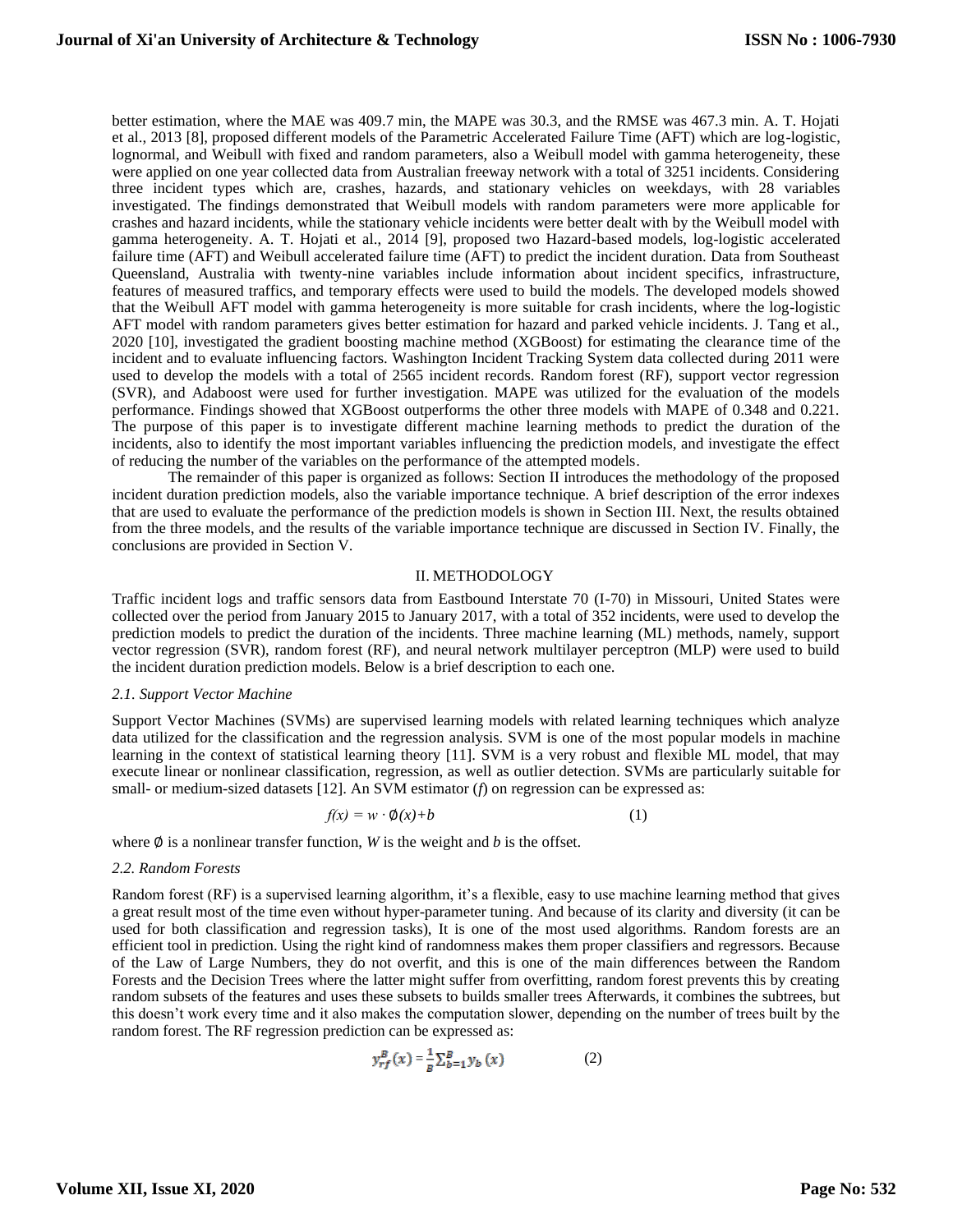better estimation, where the MAE was 409.7 min, the MAPE was 30.3, and the RMSE was 467.3 min. A. T. Hojati et al., 2013 [8], proposed different models of the Parametric Accelerated Failure Time (AFT) which are log-logistic, lognormal, and Weibull with fixed and random parameters, also a Weibull model with gamma heterogeneity, these were applied on one year collected data from Australian freeway network with a total of 3251 incidents. Considering three incident types which are, crashes, hazards, and stationary vehicles on weekdays, with 28 variables investigated. The findings demonstrated that Weibull models with random parameters were more applicable for crashes and hazard incidents, while the stationary vehicle incidents were better dealt with by the Weibull model with gamma heterogeneity. A. T. Hojati et al., 2014 [9], proposed two Hazard-based models, log-logistic accelerated failure time (AFT) and Weibull accelerated failure time (AFT) to predict the incident duration. Data from Southeast Queensland, Australia with twenty-nine variables include information about incident specifics, infrastructure, features of measured traffics, and temporary effects were used to build the models. The developed models showed that the Weibull AFT model with gamma heterogeneity is more suitable for crash incidents, where the log-logistic AFT model with random parameters gives better estimation for hazard and parked vehicle incidents. J. Tang et al., 2020 [10], investigated the gradient boosting machine method (XGBoost) for estimating the clearance time of the incident and to evaluate influencing factors. Washington Incident Tracking System data collected during 2011 were used to develop the models with a total of 2565 incident records. Random forest (RF), support vector regression (SVR), and Adaboost were used for further investigation. MAPE was utilized for the evaluation of the models performance. Findings showed that XGBoost outperforms the other three models with MAPE of 0.348 and 0.221. The purpose of this paper is to investigate different machine learning methods to predict the duration of the incidents, also to identify the most important variables influencing the prediction models, and investigate the effect of reducing the number of the variables on the performance of the attempted models.

The remainder of this paper is organized as follows: Section II introduces the methodology of the proposed incident duration prediction models, also the variable importance technique. A brief description of the error indexes that are used to evaluate the performance of the prediction models is shown in Section III. Next, the results obtained from the three models, and the results of the variable importance technique are discussed in Section IV. Finally, the conclusions are provided in Section V.

#### II. METHODOLOGY

Traffic incident logs and traffic sensors data from Eastbound Interstate 70 (I-70) in Missouri, United States were collected over the period from January 2015 to January 2017, with a total of 352 incidents, were used to develop the prediction models to predict the duration of the incidents. Three machine learning (ML) methods, namely, support vector regression (SVR), random forest (RF), and neural network multilayer perceptron (MLP) were used to build the incident duration prediction models. Below is a brief description to each one.

#### *2.1. Support Vector Machine*

Support Vector Machines (SVMs) are supervised learning models with related learning techniques which analyze data utilized for the classification and the regression analysis. SVM is one of the most popular models in machine learning in the context of statistical learning theory [11]. SVM is a very robust and flexible ML model, that may execute linear or nonlinear classification, regression, as well as outlier detection. SVMs are particularly suitable for small- or medium-sized datasets [12]. An SVM estimator (*f*) on regression can be expressed as:

$$
f(x) = w \cdot \phi(x) + b \tag{1}
$$

where  $\emptyset$  is a nonlinear transfer function, *W* is the weight and *b* is the offset.

#### *2.2. Random Forests*

Random forest (RF) is a supervised learning algorithm, it's a flexible, easy to use machine learning method that gives a great result most of the time even without hyper-parameter tuning. And because of its clarity and diversity (it can be used for both classification and regression tasks), It is one of the most used algorithms. Random forests are an efficient tool in prediction. Using the right kind of randomness makes them proper classifiers and regressors. Because of the Law of Large Numbers, they do not overfit, and this is one of the main differences between the Random Forests and the Decision Trees where the latter might suffer from overfitting, random forest prevents this by creating random subsets of the features and uses these subsets to builds smaller trees Afterwards, it combines the subtrees, but this doesn't work every time and it also makes the computation slower, depending on the number of trees built by the random forest. The RF regression prediction can be expressed as:

$$
y_{rf}^{B}(x) = \frac{1}{B} \sum_{b=1}^{B} y_b(x)
$$
 (2)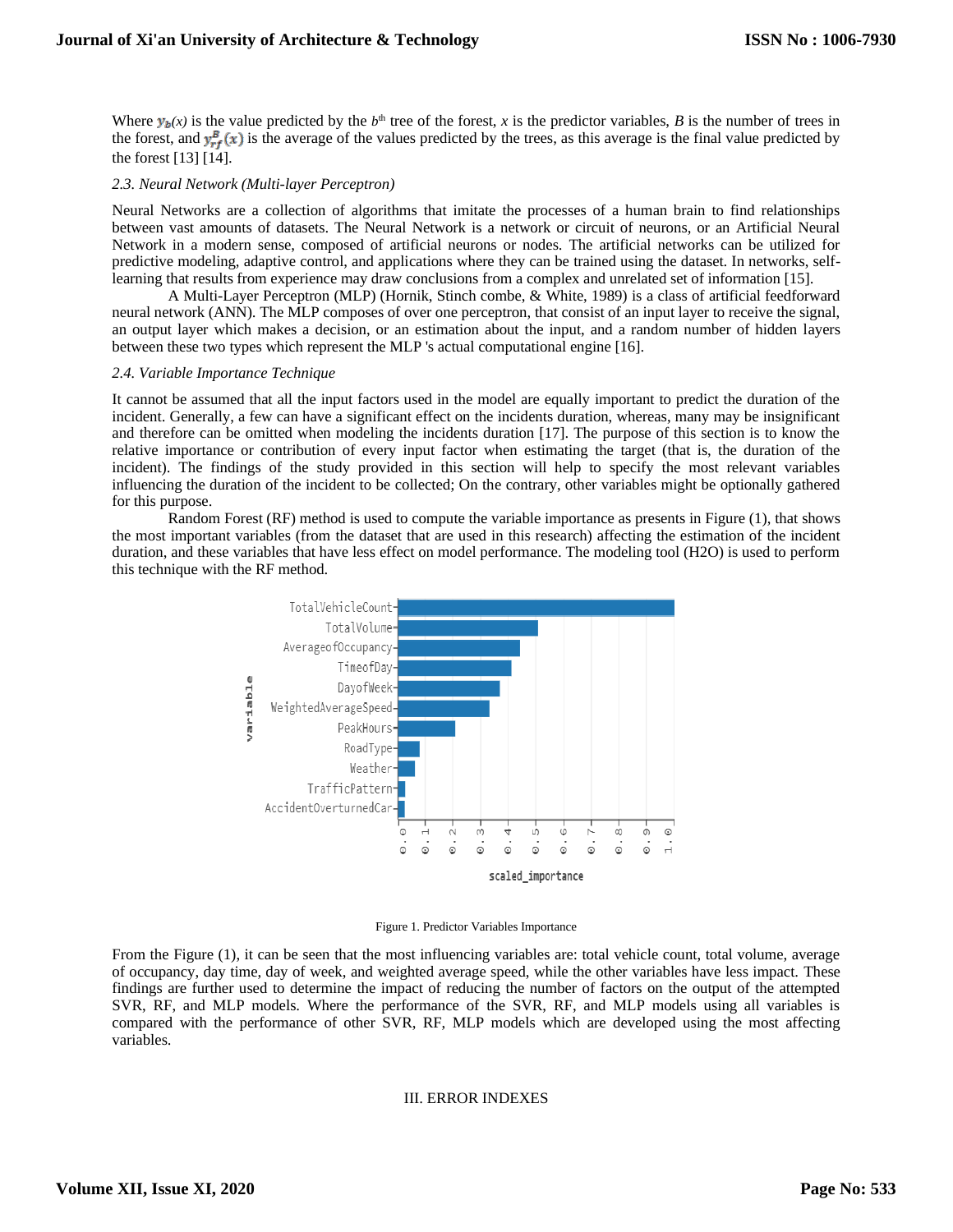Where  $y_b(x)$  is the value predicted by the  $b^{\text{th}}$  tree of the forest, *x* is the predictor variables, *B* is the number of trees in the forest, and  $y_{rf}^{B}(x)$  is the average of the values predicted by the trees, as this average is the final value predicted by the forest [13] [14].

# *2.3. Neural Network (Multi-layer Perceptron)*

Neural Networks are a collection of algorithms that imitate the processes of a human brain to find relationships between vast amounts of datasets. The Neural Network is a network or circuit of neurons, or an Artificial Neural Network in a modern sense, composed of artificial neurons or nodes. The artificial networks can be utilized for predictive modeling, adaptive control, and applications where they can be trained using the dataset. In networks, selflearning that results from experience may draw conclusions from a complex and unrelated set of information [15].

A Multi-Layer Perceptron (MLP) (Hornik, Stinch combe, & White, 1989) is a class of artificial feedforward neural network (ANN). The MLP composes of over one perceptron, that consist of an input layer to receive the signal, an output layer which makes a decision, or an estimation about the input, and a random number of hidden layers between these two types which represent the MLP 's actual computational engine [16].

#### *2.4. Variable Importance Technique*

It cannot be assumed that all the input factors used in the model are equally important to predict the duration of the incident. Generally, a few can have a significant effect on the incidents duration, whereas, many may be insignificant and therefore can be omitted when modeling the incidents duration [17]. The purpose of this section is to know the relative importance or contribution of every input factor when estimating the target (that is, the duration of the incident). The findings of the study provided in this section will help to specify the most relevant variables influencing the duration of the incident to be collected; On the contrary, other variables might be optionally gathered for this purpose.

Random Forest (RF) method is used to compute the variable importance as presents in Figure (1), that shows the most important variables (from the dataset that are used in this research) affecting the estimation of the incident duration, and these variables that have less effect on model performance. The modeling tool (H2O) is used to perform this technique with the RF method.



Figure 1. Predictor Variables Importance

From the Figure (1), it can be seen that the most influencing variables are: total vehicle count, total volume, average of occupancy, day time, day of week, and weighted average speed, while the other variables have less impact. These findings are further used to determine the impact of reducing the number of factors on the output of the attempted SVR, RF, and MLP models. Where the performance of the SVR, RF, and MLP models using all variables is compared with the performance of other SVR, RF, MLP models which are developed using the most affecting variables.

#### III. ERROR INDEXES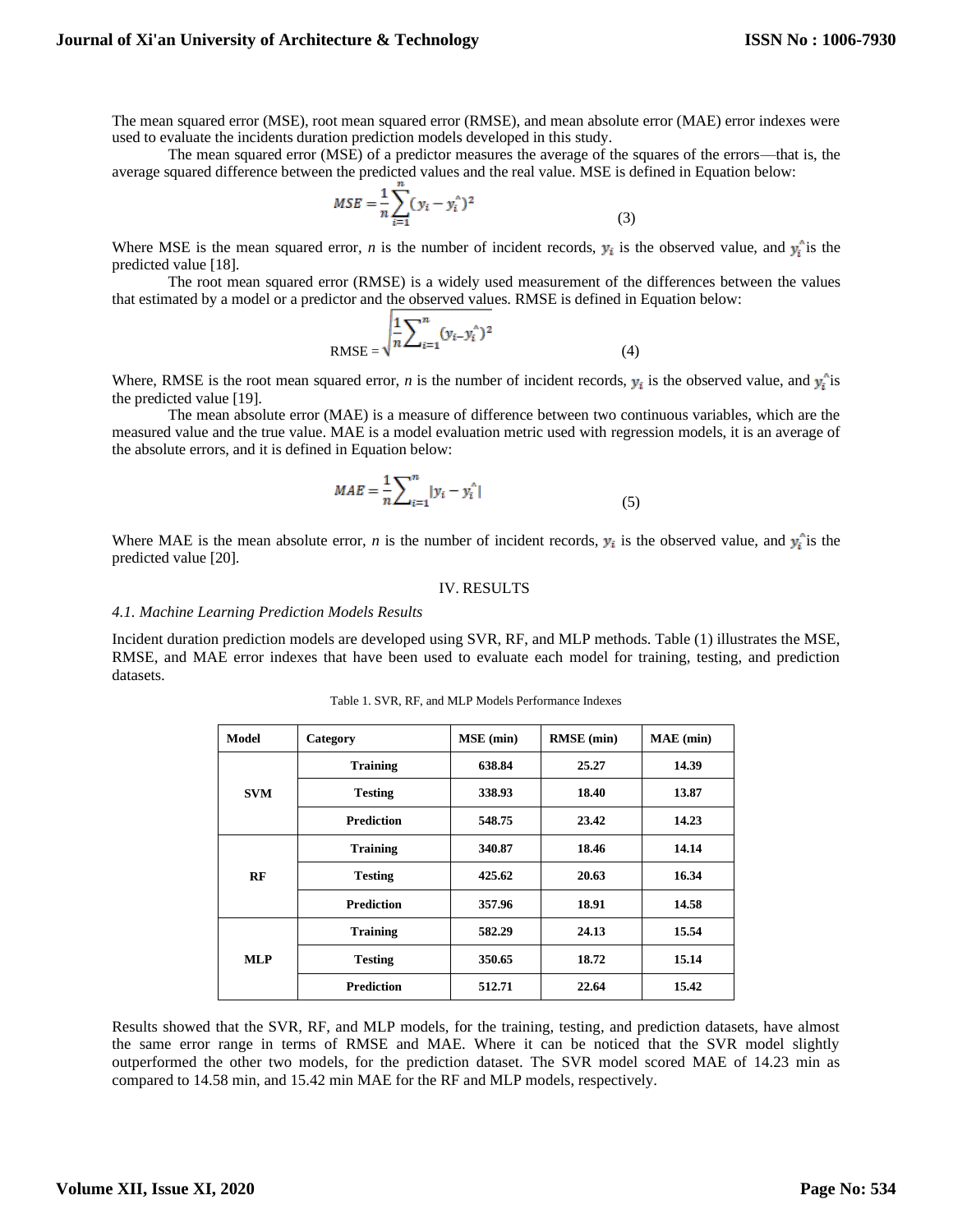The mean squared error (MSE), root mean squared error (RMSE), and mean absolute error (MAE) error indexes were used to evaluate the incidents duration prediction models developed in this study.

The mean squared error (MSE) of a predictor measures the average of the squares of the errors—that is, the average squared difference between the predicted values and the real value. MSE is defined in Equation below:

$$
MSE = \frac{1}{n} \sum_{i=1}^{n} (y_i - y_i^{\wedge})^2
$$
 (3)

Where MSE is the mean squared error, *n* is the number of incident records,  $y_i$  is the observed value, and  $y_i$  is the predicted value [18].

The root mean squared error (RMSE) is a widely used measurement of the differences between the values that estimated by a model or a predictor and the observed values. RMSE is defined in Equation below:

RMSE = 
$$
\sqrt{\frac{1}{n} \sum_{i=1}^{n} (y_i - y_i^{\wedge})^2}
$$
 (4)

Where, RMSE is the root mean squared error, *n* is the number of incident records,  $y_i$  is the observed value, and  $y_i$  is the predicted value [19].

The mean absolute error (MAE) is a measure of difference between two continuous variables, which are the measured value and the true value. MAE is a model evaluation metric used with regression models, it is an average of the absolute errors, and it is defined in Equation below:

$$
MAE = \frac{1}{n} \sum_{i=1}^{n} |y_i - y_i^{\wedge}|
$$
 (5)

Where MAE is the mean absolute error, *n* is the number of incident records,  $y_i$  is the observed value, and  $y_i$  is the predicted value [20].

## IV. RESULTS

#### *4.1. Machine Learning Prediction Models Results*

Incident duration prediction models are developed using SVR, RF, and MLP methods. Table (1) illustrates the MSE, RMSE, and MAE error indexes that have been used to evaluate each model for training, testing, and prediction datasets.

| <b>Model</b> | Category          | <b>MSE</b> (min) | <b>RMSE</b> (min) | MAE (min) |
|--------------|-------------------|------------------|-------------------|-----------|
| <b>SVM</b>   | <b>Training</b>   | 638.84           | 25.27             | 14.39     |
|              | <b>Testing</b>    | 338.93           | 18.40             | 13.87     |
|              | <b>Prediction</b> | 548.75           | 23.42             | 14.23     |
| RF           | <b>Training</b>   | 340.87           | 18.46             | 14.14     |
|              | <b>Testing</b>    | 425.62           | 20.63             | 16.34     |
|              | <b>Prediction</b> | 357.96           | 18.91             | 14.58     |
| <b>MLP</b>   | <b>Training</b>   | 582.29           | 24.13             | 15.54     |
|              | <b>Testing</b>    | 350.65           | 18.72             | 15.14     |
|              | <b>Prediction</b> | 512.71           | 22.64             | 15.42     |

Table 1. SVR, RF, and MLP Models Performance Indexes

Results showed that the SVR, RF, and MLP models, for the training, testing, and prediction datasets, have almost the same error range in terms of RMSE and MAE. Where it can be noticed that the SVR model slightly outperformed the other two models, for the prediction dataset. The SVR model scored MAE of 14.23 min as compared to 14.58 min, and 15.42 min MAE for the RF and MLP models, respectively.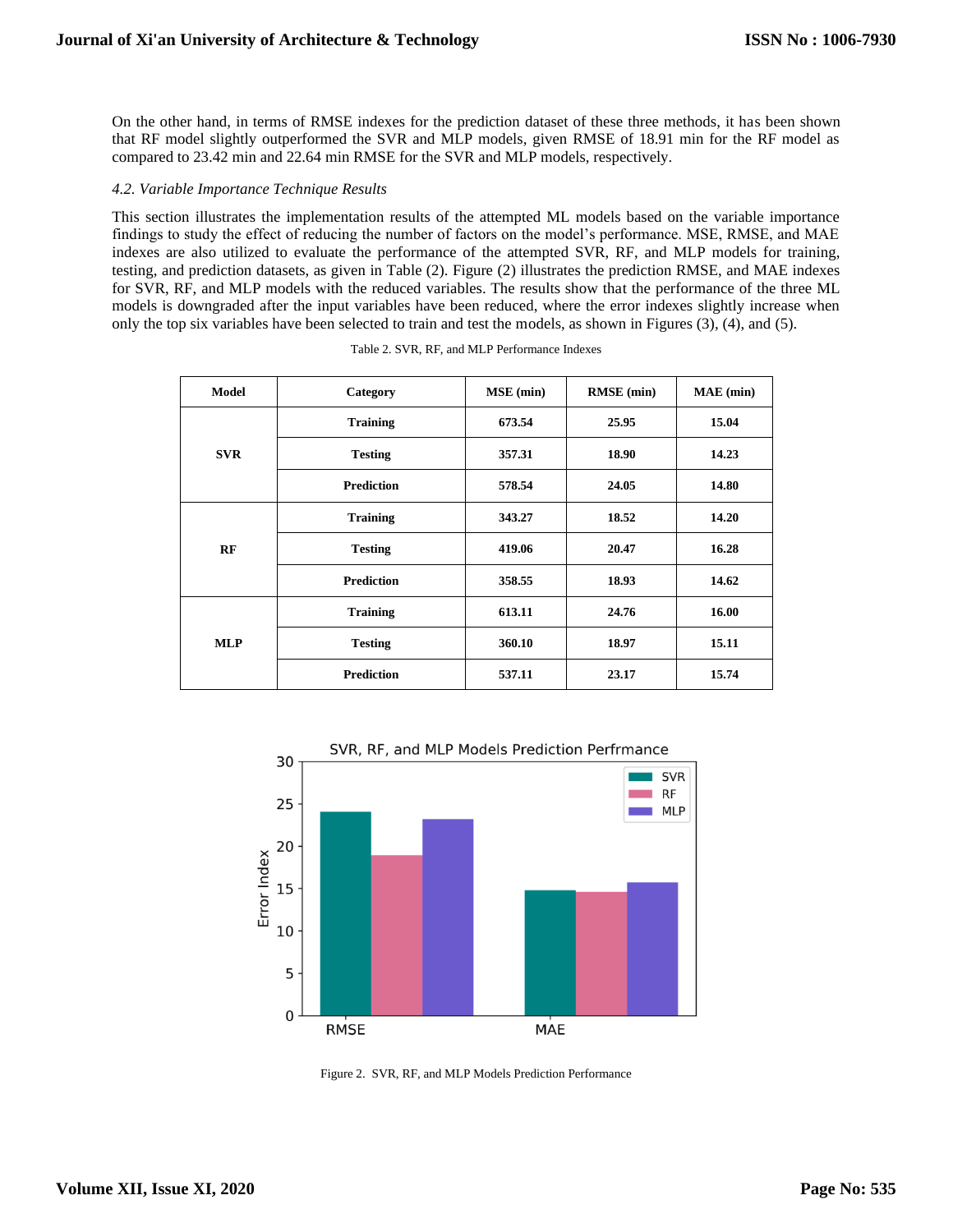On the other hand, in terms of RMSE indexes for the prediction dataset of these three methods, it has been shown that RF model slightly outperformed the SVR and MLP models, given RMSE of 18.91 min for the RF model as compared to 23.42 min and 22.64 min RMSE for the SVR and MLP models, respectively.

## *4.2. Variable Importance Technique Results*

This section illustrates the implementation results of the attempted ML models based on the variable importance findings to study the effect of reducing the number of factors on the model's performance. MSE, RMSE, and MAE indexes are also utilized to evaluate the performance of the attempted SVR, RF, and MLP models for training, testing, and prediction datasets, as given in Table (2). Figure (2) illustrates the prediction RMSE, and MAE indexes for SVR, RF, and MLP models with the reduced variables. The results show that the performance of the three ML models is downgraded after the input variables have been reduced, where the error indexes slightly increase when only the top six variables have been selected to train and test the models, as shown in Figures (3), (4), and (5).

| <b>Model</b> | Category          | <b>MSE</b> (min) | <b>RMSE</b> (min) | $MAE$ (min) |
|--------------|-------------------|------------------|-------------------|-------------|
| <b>SVR</b>   | <b>Training</b>   | 673.54           | 25.95             | 15.04       |
|              | <b>Testing</b>    | 357.31           | 18.90             | 14.23       |
|              | <b>Prediction</b> | 578.54           | 24.05             | 14.80       |
| RF           | <b>Training</b>   | 343.27           | 18.52             | 14.20       |
|              | <b>Testing</b>    | 419.06           | 20.47             | 16.28       |
|              | <b>Prediction</b> | 358.55           | 18.93             | 14.62       |
| <b>MLP</b>   | <b>Training</b>   | 613.11           | 24.76             | 16.00       |
|              | <b>Testing</b>    | 360.10           | 18.97             | 15.11       |
|              | <b>Prediction</b> | 537.11           | 23.17             | 15.74       |

|  |  | Table 2. SVR, RF, and MLP Performance Indexes |  |
|--|--|-----------------------------------------------|--|
|  |  |                                               |  |



Figure 2. SVR, RF, and MLP Models Prediction Performance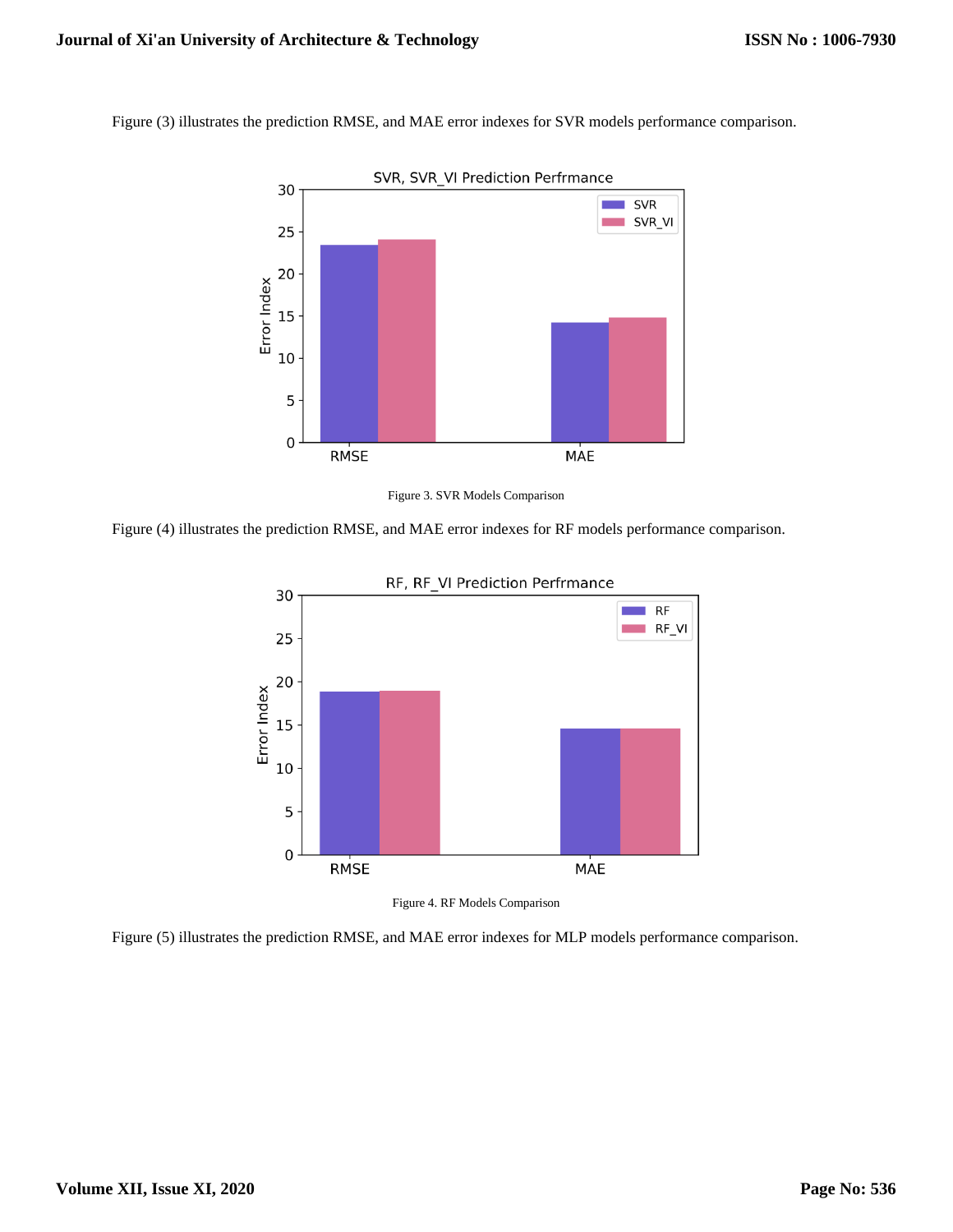Figure (3) illustrates the prediction RMSE, and MAE error indexes for SVR models performance comparison.



Figure 3. SVR Models Comparison

Figure (4) illustrates the prediction RMSE, and MAE error indexes for RF models performance comparison.





Figure (5) illustrates the prediction RMSE, and MAE error indexes for MLP models performance comparison.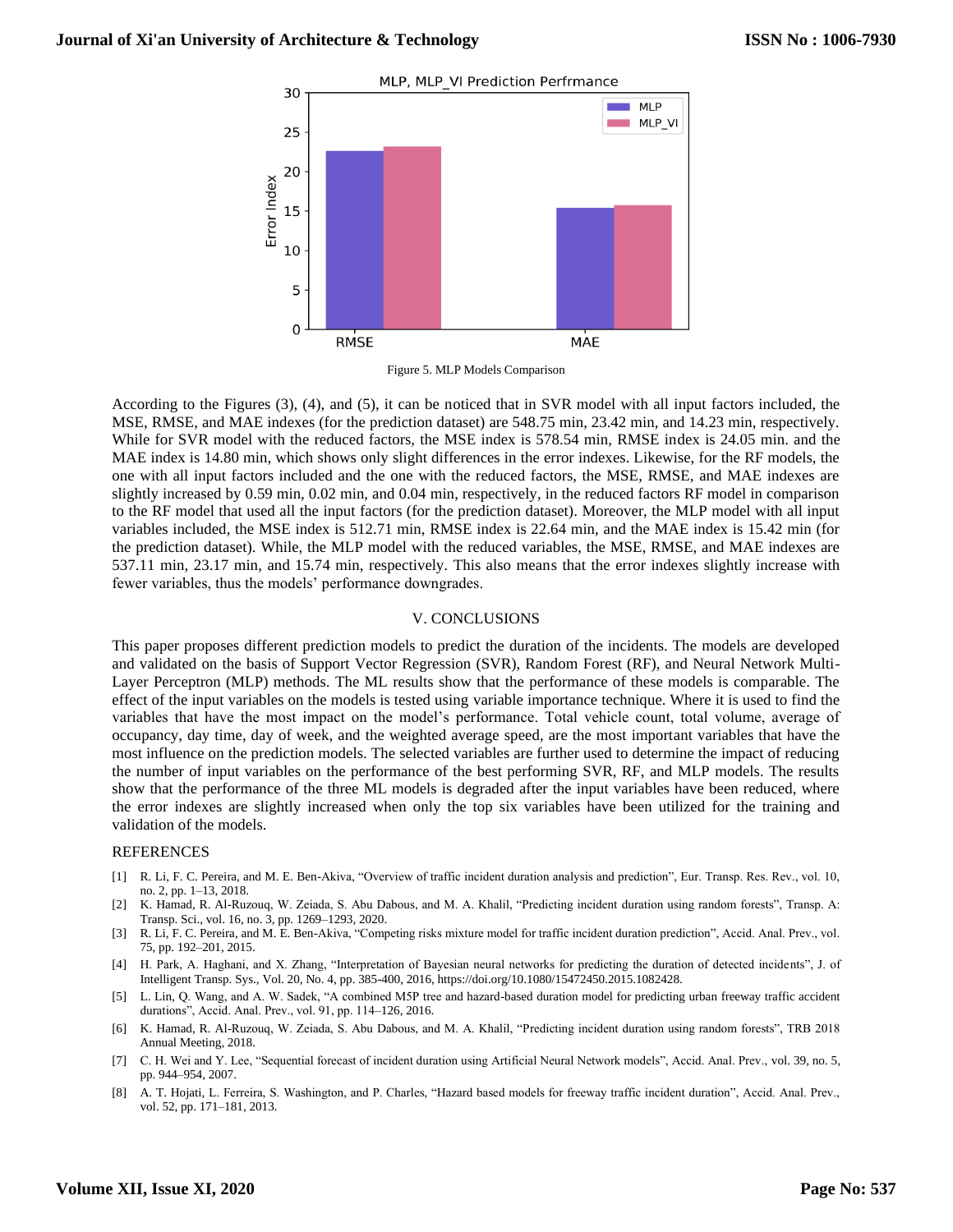

Figure 5. MLP Models Comparison

According to the Figures (3), (4), and (5), it can be noticed that in SVR model with all input factors included, the MSE, RMSE, and MAE indexes (for the prediction dataset) are 548.75 min, 23.42 min, and 14.23 min, respectively. While for SVR model with the reduced factors, the MSE index is 578.54 min, RMSE index is 24.05 min. and the MAE index is 14.80 min, which shows only slight differences in the error indexes. Likewise, for the RF models, the one with all input factors included and the one with the reduced factors, the MSE, RMSE, and MAE indexes are slightly increased by 0.59 min, 0.02 min, and 0.04 min, respectively, in the reduced factors RF model in comparison to the RF model that used all the input factors (for the prediction dataset). Moreover, the MLP model with all input variables included, the MSE index is 512.71 min, RMSE index is 22.64 min, and the MAE index is 15.42 min (for the prediction dataset). While, the MLP model with the reduced variables, the MSE, RMSE, and MAE indexes are 537.11 min, 23.17 min, and 15.74 min, respectively. This also means that the error indexes slightly increase with fewer variables, thus the models' performance downgrades.

## V. CONCLUSIONS

This paper proposes different prediction models to predict the duration of the incidents. The models are developed and validated on the basis of Support Vector Regression (SVR), Random Forest (RF), and Neural Network Multi-Layer Perceptron (MLP) methods. The ML results show that the performance of these models is comparable. The effect of the input variables on the models is tested using variable importance technique. Where it is used to find the variables that have the most impact on the model's performance. Total vehicle count, total volume, average of occupancy, day time, day of week, and the weighted average speed, are the most important variables that have the most influence on the prediction models. The selected variables are further used to determine the impact of reducing the number of input variables on the performance of the best performing SVR, RF, and MLP models. The results show that the performance of the three ML models is degraded after the input variables have been reduced, where the error indexes are slightly increased when only the top six variables have been utilized for the training and validation of the models.

#### REFERENCES

- [1] R. Li, F. C. Pereira, and M. E. Ben-Akiva, "Overview of traffic incident duration analysis and prediction", Eur. Transp. Res. Rev., vol. 10, no. 2, pp. 1–13, 2018.
- [2] K. Hamad, R. Al-Ruzouq, W. Zeiada, S. Abu Dabous, and M. A. Khalil, "Predicting incident duration using random forests", Transp. A: Transp. Sci., vol. 16, no. 3, pp. 1269–1293, 2020.
- [3] R. Li, F. C. Pereira, and M. E. Ben-Akiva, "Competing risks mixture model for traffic incident duration prediction", Accid. Anal. Prev., vol. 75, pp. 192–201, 2015.
- [4] H. Park, A. Haghani, and X. Zhang, "Interpretation of Bayesian neural networks for predicting the duration of detected incidents", J. of Intelligent Transp. Sys., Vol. 20, No. 4, pp. 385-400, 2016, https://doi.org/10.1080/15472450.2015.1082428.
- [5] L. Lin, Q. Wang, and A. W. Sadek, "A combined M5P tree and hazard-based duration model for predicting urban freeway traffic accident durations", Accid. Anal. Prev., vol. 91, pp. 114–126, 2016.
- [6] K. Hamad, R. Al-Ruzouq, W. Zeiada, S. Abu Dabous, and M. A. Khalil, "Predicting incident duration using random forests", TRB 2018 Annual Meeting, 2018.
- [7] C. H. Wei and Y. Lee, "Sequential forecast of incident duration using Artificial Neural Network models", Accid. Anal. Prev., vol. 39, no. 5, pp. 944–954, 2007.
- [8] A. T. Hojati, L. Ferreira, S. Washington, and P. Charles, "Hazard based models for freeway traffic incident duration", Accid. Anal. Prev., vol. 52, pp. 171–181, 2013.